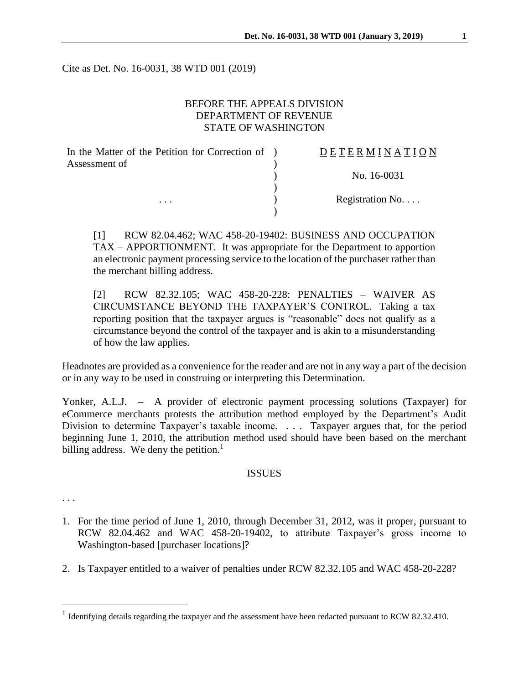Cite as Det. No. 16-0031, 38 WTD 001 (2019)

# BEFORE THE APPEALS DIVISION DEPARTMENT OF REVENUE STATE OF WASHINGTON

| In the Matter of the Petition for Correction of ) | DETERMINATION   |
|---------------------------------------------------|-----------------|
| Assessment of                                     |                 |
|                                                   | No. 16-0031     |
|                                                   |                 |
| $\cdots$                                          | Registration No |
|                                                   |                 |

[1] RCW 82.04.462; WAC 458-20-19402: BUSINESS AND OCCUPATION TAX – APPORTIONMENT. It was appropriate for the Department to apportion an electronic payment processing service to the location of the purchaser rather than the merchant billing address.

[2] RCW 82.32.105; WAC 458-20-228: PENALTIES – WAIVER AS CIRCUMSTANCE BEYOND THE TAXPAYER'S CONTROL*.* Taking a tax reporting position that the taxpayer argues is "reasonable" does not qualify as a circumstance beyond the control of the taxpayer and is akin to a misunderstanding of how the law applies.

Headnotes are provided as a convenience for the reader and are not in any way a part of the decision or in any way to be used in construing or interpreting this Determination.

Yonker, A.L.J. – A provider of electronic payment processing solutions (Taxpayer) for eCommerce merchants protests the attribution method employed by the Department's Audit Division to determine Taxpayer's taxable income. . . . Taxpayer argues that, for the period beginning June 1, 2010, the attribution method used should have been based on the merchant billing address. We deny the petition.<sup>1</sup>

#### ISSUES

. . .

 $\overline{a}$ 

- 1. For the time period of June 1, 2010, through December 31, 2012, was it proper, pursuant to RCW 82.04.462 and WAC 458-20-19402, to attribute Taxpayer's gross income to Washington-based [purchaser locations]?
- 2. Is Taxpayer entitled to a waiver of penalties under RCW 82.32.105 and WAC 458-20-228?

<sup>&</sup>lt;sup>1</sup> Identifying details regarding the taxpayer and the assessment have been redacted pursuant to RCW 82.32.410.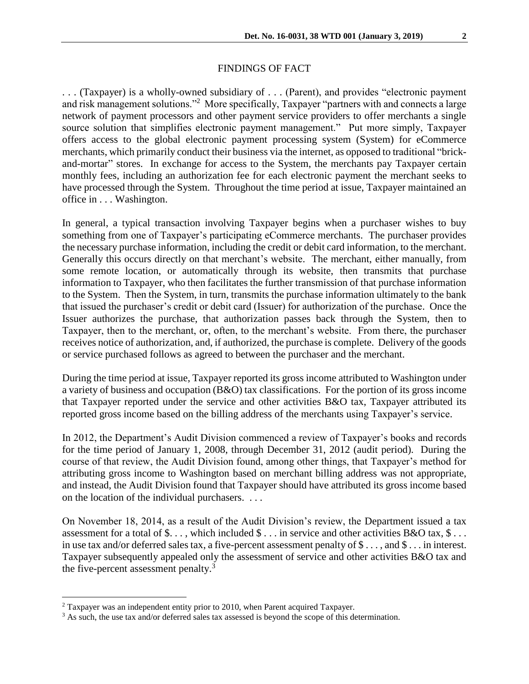## FINDINGS OF FACT

. . . (Taxpayer) is a wholly-owned subsidiary of . . . (Parent), and provides "electronic payment and risk management solutions."<sup>2</sup> More specifically, Taxpayer "partners with and connects a large network of payment processors and other payment service providers to offer merchants a single source solution that simplifies electronic payment management." Put more simply, Taxpayer offers access to the global electronic payment processing system (System) for eCommerce merchants, which primarily conduct their business via the internet, as opposed to traditional "brickand-mortar" stores. In exchange for access to the System, the merchants pay Taxpayer certain monthly fees, including an authorization fee for each electronic payment the merchant seeks to have processed through the System. Throughout the time period at issue, Taxpayer maintained an office in . . . Washington.

In general, a typical transaction involving Taxpayer begins when a purchaser wishes to buy something from one of Taxpayer's participating eCommerce merchants. The purchaser provides the necessary purchase information, including the credit or debit card information, to the merchant. Generally this occurs directly on that merchant's website. The merchant, either manually, from some remote location, or automatically through its website, then transmits that purchase information to Taxpayer, who then facilitates the further transmission of that purchase information to the System. Then the System, in turn, transmits the purchase information ultimately to the bank that issued the purchaser's credit or debit card (Issuer) for authorization of the purchase. Once the Issuer authorizes the purchase, that authorization passes back through the System, then to Taxpayer, then to the merchant, or, often, to the merchant's website. From there, the purchaser receives notice of authorization, and, if authorized, the purchase is complete. Delivery of the goods or service purchased follows as agreed to between the purchaser and the merchant.

During the time period at issue, Taxpayer reported its gross income attributed to Washington under a variety of business and occupation (B&O) tax classifications. For the portion of its gross income that Taxpayer reported under the service and other activities B&O tax, Taxpayer attributed its reported gross income based on the billing address of the merchants using Taxpayer's service.

In 2012, the Department's Audit Division commenced a review of Taxpayer's books and records for the time period of January 1, 2008, through December 31, 2012 (audit period). During the course of that review, the Audit Division found, among other things, that Taxpayer's method for attributing gross income to Washington based on merchant billing address was not appropriate, and instead, the Audit Division found that Taxpayer should have attributed its gross income based on the location of the individual purchasers. . . .

On November 18, 2014, as a result of the Audit Division's review, the Department issued a tax assessment for a total of  $\$\dots$ , which included  $\$\dots$  in service and other activities B&O tax,  $\$\dots$ in use tax and/or deferred sales tax, a five-percent assessment penalty of \$ . . . , and \$ . . . in interest. Taxpayer subsequently appealed only the assessment of service and other activities B&O tax and the five-percent assessment penalty.<sup>3</sup>

 $\overline{a}$ 

<sup>2</sup> Taxpayer was an independent entity prior to 2010, when Parent acquired Taxpayer.

<sup>&</sup>lt;sup>3</sup> As such, the use tax and/or deferred sales tax assessed is beyond the scope of this determination.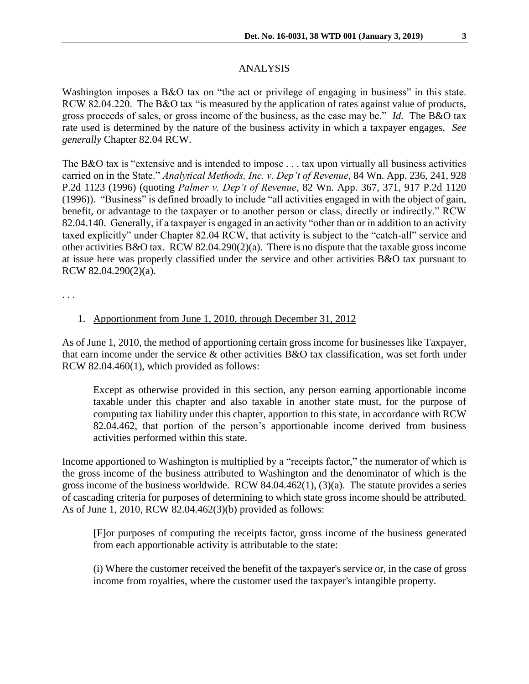## ANALYSIS

Washington imposes a B&O tax on "the act or privilege of engaging in business" in this state. RCW 82.04.220. The B&O tax "is measured by the application of rates against value of products, gross proceeds of sales, or gross income of the business, as the case may be." *Id.* The B&O tax rate used is determined by the nature of the business activity in which a taxpayer engages. *See generally* Chapter 82.04 RCW.

The B&O tax is "extensive and is intended to impose . . . tax upon virtually all business activities carried on in the State." *Analytical Methods, Inc. v. Dep't of Revenue*, 84 Wn. App. 236, 241, 928 P.2d 1123 (1996) (quoting *Palmer v. Dep't of Revenue*, 82 Wn. App. 367, 371, 917 P.2d 1120 (1996)). "Business" is defined broadly to include "all activities engaged in with the object of gain, benefit, or advantage to the taxpayer or to another person or class, directly or indirectly." RCW 82.04.140. Generally, if a taxpayer is engaged in an activity "other than or in addition to an activity taxed explicitly" under Chapter 82.04 RCW, that activity is subject to the "catch-all" service and other activities B&O tax. RCW 82.04.290(2)(a). There is no dispute that the taxable gross income at issue here was properly classified under the service and other activities B&O tax pursuant to RCW 82.04.290(2)(a).

. . .

### 1. Apportionment from June 1, 2010, through December 31, 2012

As of June 1, 2010, the method of apportioning certain gross income for businesses like Taxpayer, that earn income under the service & other activities B&O tax classification, was set forth under RCW 82.04.460(1), which provided as follows:

Except as otherwise provided in this section, any person earning apportionable income taxable under this chapter and also taxable in another state must, for the purpose of computing tax liability under this chapter, apportion to this state, in accordance with RCW [82.04.462,](http://apps.leg.wa.gov/rcw/default.aspx?cite=82.04.462) that portion of the person's apportionable income derived from business activities performed within this state.

Income apportioned to Washington is multiplied by a "receipts factor," the numerator of which is the gross income of the business attributed to Washington and the denominator of which is the gross income of the business worldwide. RCW 84.04.462(1), (3)(a). The statute provides a series of cascading criteria for purposes of determining to which state gross income should be attributed. As of June 1, 2010, RCW 82.04.462(3)(b) provided as follows:

[F]or purposes of computing the receipts factor, gross income of the business generated from each apportionable activity is attributable to the state:

(i) Where the customer received the benefit of the taxpayer's service or, in the case of gross income from royalties, where the customer used the taxpayer's intangible property.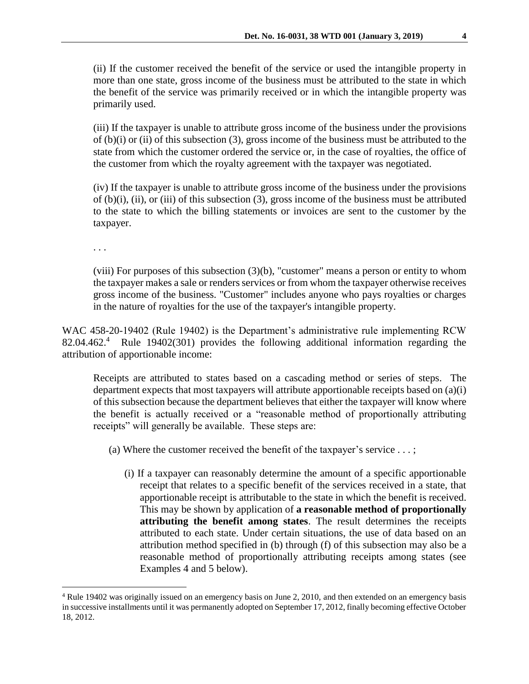(ii) If the customer received the benefit of the service or used the intangible property in more than one state, gross income of the business must be attributed to the state in which the benefit of the service was primarily received or in which the intangible property was primarily used.

(iii) If the taxpayer is unable to attribute gross income of the business under the provisions of (b)(i) or (ii) of this subsection (3), gross income of the business must be attributed to the state from which the customer ordered the service or, in the case of royalties, the office of the customer from which the royalty agreement with the taxpayer was negotiated.

(iv) If the taxpayer is unable to attribute gross income of the business under the provisions of (b)(i), (ii), or (iii) of this subsection (3), gross income of the business must be attributed to the state to which the billing statements or invoices are sent to the customer by the taxpayer.

. . .

 $\overline{a}$ 

(viii) For purposes of this subsection (3)(b), "customer" means a person or entity to whom the taxpayer makes a sale or renders services or from whom the taxpayer otherwise receives gross income of the business. "Customer" includes anyone who pays royalties or charges in the nature of royalties for the use of the taxpayer's intangible property.

WAC 458-20-19402 (Rule 19402) is the Department's administrative rule implementing RCW 82.04.462.<sup>4</sup> Rule 19402(301) provides the following additional information regarding the attribution of apportionable income:

Receipts are attributed to states based on a cascading method or series of steps. The department expects that most taxpayers will attribute apportionable receipts based on (a)(i) of this subsection because the department believes that either the taxpayer will know where the benefit is actually received or a "reasonable method of proportionally attributing receipts" will generally be available. These steps are:

- (a) Where the customer received the benefit of the taxpayer's service . . . ;
	- (i) If a taxpayer can reasonably determine the amount of a specific apportionable receipt that relates to a specific benefit of the services received in a state, that apportionable receipt is attributable to the state in which the benefit is received. This may be shown by application of **a reasonable method of proportionally attributing the benefit among states**. The result determines the receipts attributed to each state. Under certain situations, the use of data based on an attribution method specified in (b) through (f) of this subsection may also be a reasonable method of proportionally attributing receipts among states (see Examples 4 and 5 below).

<sup>4</sup> Rule 19402 was originally issued on an emergency basis on June 2, 2010, and then extended on an emergency basis in successive installments until it was permanently adopted on September 17, 2012, finally becoming effective October 18, 2012.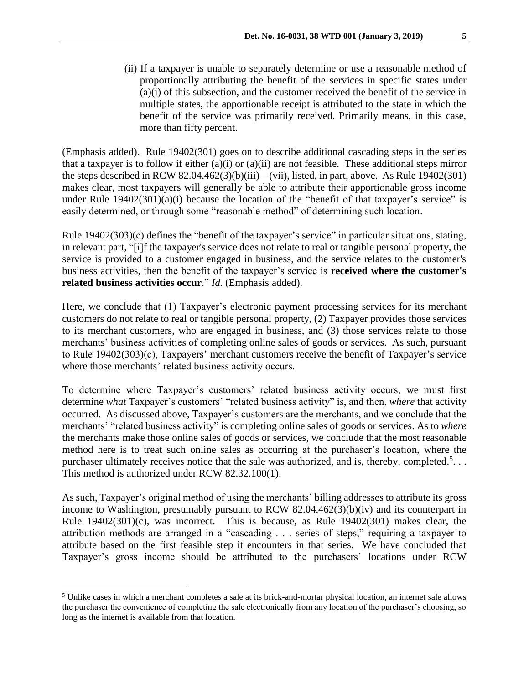(ii) If a taxpayer is unable to separately determine or use a reasonable method of proportionally attributing the benefit of the services in specific states under (a)(i) of this subsection, and the customer received the benefit of the service in multiple states, the apportionable receipt is attributed to the state in which the benefit of the service was primarily received. Primarily means, in this case, more than fifty percent.

(Emphasis added). Rule 19402(301) goes on to describe additional cascading steps in the series that a taxpayer is to follow if either (a)(i) or (a)(ii) are not feasible. These additional steps mirror the steps described in RCW 82.04.462(3)(b)(iii) – (vii), listed, in part, above. As Rule 19402(301) makes clear, most taxpayers will generally be able to attribute their apportionable gross income under Rule 19402(301)(a)(i) because the location of the "benefit of that taxpayer's service" is easily determined, or through some "reasonable method" of determining such location.

Rule 19402(303)(c) defines the "benefit of the taxpayer's service" in particular situations, stating, in relevant part, "[i]f the taxpayer's service does not relate to real or tangible personal property, the service is provided to a customer engaged in business, and the service relates to the customer's business activities, then the benefit of the taxpayer's service is **received where the customer's related business activities occur**." *Id.* (Emphasis added).

Here, we conclude that (1) Taxpayer's electronic payment processing services for its merchant customers do not relate to real or tangible personal property, (2) Taxpayer provides those services to its merchant customers, who are engaged in business, and (3) those services relate to those merchants' business activities of completing online sales of goods or services. As such, pursuant to Rule 19402(303)(c), Taxpayers' merchant customers receive the benefit of Taxpayer's service where those merchants' related business activity occurs.

To determine where Taxpayer's customers' related business activity occurs, we must first determine *what* Taxpayer's customers' "related business activity" is, and then, *where* that activity occurred. As discussed above, Taxpayer's customers are the merchants, and we conclude that the merchants' "related business activity" is completing online sales of goods or services. As to *where* the merchants make those online sales of goods or services, we conclude that the most reasonable method here is to treat such online sales as occurring at the purchaser's location, where the purchaser ultimately receives notice that the sale was authorized, and is, thereby, completed.<sup>5</sup>... This method is authorized under RCW 82.32.100(1).

As such, Taxpayer's original method of using the merchants' billing addresses to attribute its gross income to Washington, presumably pursuant to RCW 82.04.462(3)(b)(iv) and its counterpart in Rule 19402(301)(c), was incorrect. This is because, as Rule 19402(301) makes clear, the attribution methods are arranged in a "cascading . . . series of steps," requiring a taxpayer to attribute based on the first feasible step it encounters in that series. We have concluded that Taxpayer's gross income should be attributed to the purchasers' locations under RCW

 $\overline{a}$ 

<sup>5</sup> Unlike cases in which a merchant completes a sale at its brick-and-mortar physical location, an internet sale allows the purchaser the convenience of completing the sale electronically from any location of the purchaser's choosing, so long as the internet is available from that location.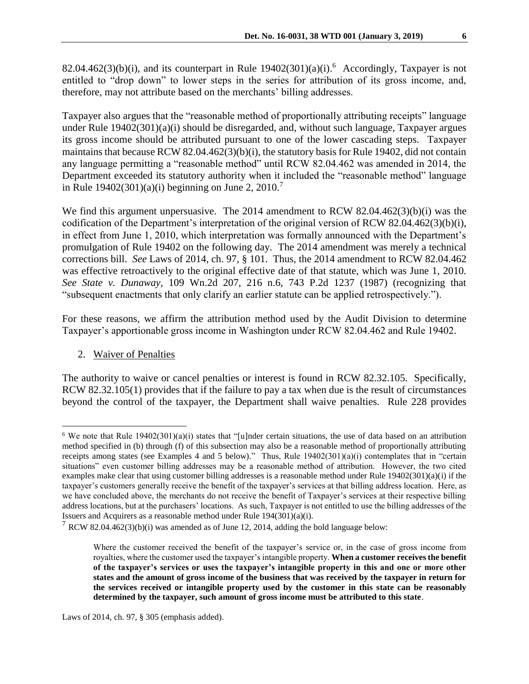82.04.462(3)(b)(i), and its counterpart in Rule  $19402(301)(a)(i)$ .<sup>6</sup> Accordingly, Taxpayer is not entitled to "drop down" to lower steps in the series for attribution of its gross income, and, therefore, may not attribute based on the merchants' billing addresses.

Taxpayer also argues that the "reasonable method of proportionally attributing receipts" language under Rule 19402(301)(a)(i) should be disregarded, and, without such language, Taxpayer argues its gross income should be attributed pursuant to one of the lower cascading steps. Taxpayer maintains that because RCW 82.04.462(3)(b)(i), the statutory basis for Rule 19402, did not contain any language permitting a "reasonable method" until RCW 82.04.462 was amended in 2014, the Department exceeded its statutory authority when it included the "reasonable method" language in Rule  $19402(301)(a)(i)$  beginning on June 2, 2010.<sup>7</sup>

We find this argument unpersuasive. The 2014 amendment to RCW 82.04.462(3)(b)(i) was the codification of the Department's interpretation of the original version of RCW 82.04.462(3)(b)(i), in effect from June 1, 2010, which interpretation was formally announced with the Department's promulgation of Rule 19402 on the following day. The 2014 amendment was merely a technical corrections bill. *See* Laws of 2014, ch. 97, § 101. Thus, the 2014 amendment to RCW 82.04.462 was effective retroactively to the original effective date of that statute, which was June 1, 2010. *See State v. Dunaway,* 109 Wn.2d 207, 216 n.6, 743 P.2d 1237 (1987) (recognizing that "subsequent enactments that only clarify an earlier statute can be applied retrospectively.").

For these reasons, we affirm the attribution method used by the Audit Division to determine Taxpayer's apportionable gross income in Washington under RCW 82.04.462 and Rule 19402.

2. Waiver of Penalties

 $\overline{a}$ 

The authority to waive or cancel penalties or interest is found in RCW 82.32.105. Specifically, RCW 82.32.105(1) provides that if the failure to pay a tax when due is the result of circumstances beyond the control of the taxpayer, the Department shall waive penalties. Rule 228 provides

<sup>&</sup>lt;sup>6</sup> We note that Rule  $19402(301)(a)(i)$  states that "[u]nder certain situations, the use of data based on an attribution method specified in (b) through (f) of this subsection may also be a reasonable method of proportionally attributing receipts among states (see Examples 4 and 5 below)." Thus, Rule 19402(301)(a)(i) contemplates that in "certain situations" even customer billing addresses may be a reasonable method of attribution. However, the two cited examples make clear that using customer billing addresses is a reasonable method under Rule 19402(301)(a)(i) if the taxpayer's customers generally receive the benefit of the taxpayer's services at that billing address location. Here, as we have concluded above, the merchants do not receive the benefit of Taxpayer's services at their respective billing address locations, but at the purchasers' locations. As such, Taxpayer is not entitled to use the billing addresses of the Issuers and Acquirers as a reasonable method under Rule 194(301)(a)(i).

<sup>&</sup>lt;sup>7</sup> RCW 82.04.462(3)(b)(i) was amended as of June 12, 2014, adding the bold language below:

Where the customer received the benefit of the taxpayer's service or, in the case of gross income from royalties, where the customer used the taxpayer's intangible property. **When a customer receives the benefit of the taxpayer's services or uses the taxpayer's intangible property in this and one or more other states and the amount of gross income of the business that was received by the taxpayer in return for the services received or intangible property used by the customer in this state can be reasonably determined by the taxpayer, such amount of gross income must be attributed to this state**.